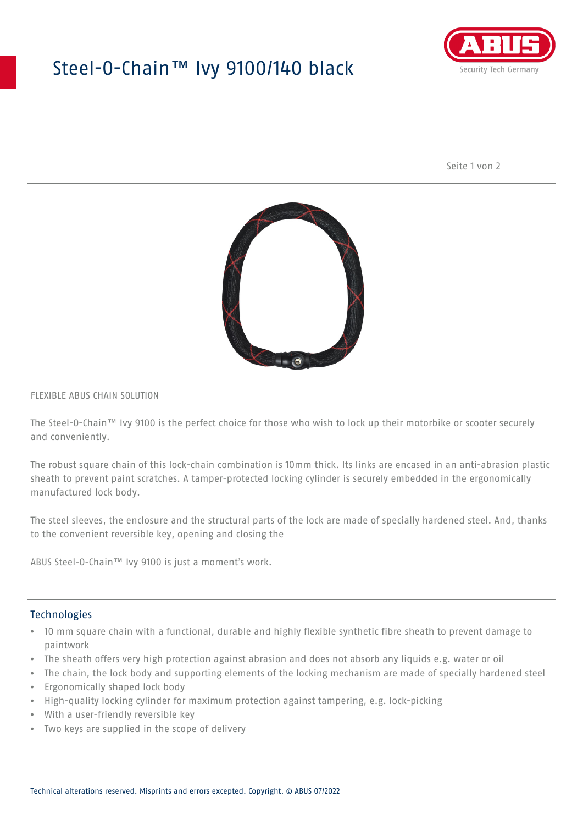# Steel-O-Chain™ Ivy 9100/140 black



Seite 1 von 2



### FLEXIBLE ABUS CHAIN SOLUTION

The Steel-O-Chain™ Ivy 9100 is the perfect choice for those who wish to lock up their motorbike or scooter securely and conveniently.

The robust square chain of this lock-chain combination is 10mm thick. Its links are encased in an anti-abrasion plastic sheath to prevent paint scratches. A tamper-protected locking cylinder is securely embedded in the ergonomically manufactured lock body.

The steel sleeves, the enclosure and the structural parts of the lock are made of specially hardened steel. And, thanks to the convenient reversible key, opening and closing the

ABUS Steel-O-Chain™ Ivy 9100 is just a moment's work.

#### **Technologies**

- 10 mm square chain with a functional, durable and highly flexible synthetic fibre sheath to prevent damage to paintwork
- The sheath offers very high protection against abrasion and does not absorb any liquids e.g. water or oil
- The chain, the lock body and supporting elements of the locking mechanism are made of specially hardened steel
- Ergonomically shaped lock body
- High-quality locking cylinder for maximum protection against tampering, e.g. lock-picking
- With a user-friendly reversible key
- Two keys are supplied in the scope of delivery